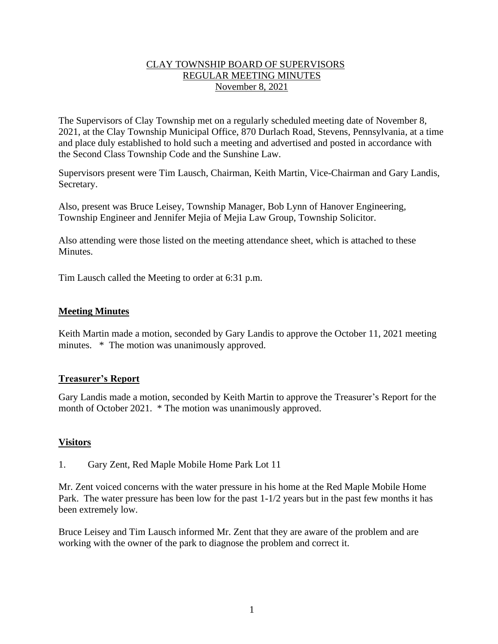### CLAY TOWNSHIP BOARD OF SUPERVISORS REGULAR MEETING MINUTES November 8, 2021

The Supervisors of Clay Township met on a regularly scheduled meeting date of November 8, 2021, at the Clay Township Municipal Office, 870 Durlach Road, Stevens, Pennsylvania, at a time and place duly established to hold such a meeting and advertised and posted in accordance with the Second Class Township Code and the Sunshine Law.

Supervisors present were Tim Lausch, Chairman, Keith Martin, Vice-Chairman and Gary Landis, Secretary.

Also, present was Bruce Leisey, Township Manager, Bob Lynn of Hanover Engineering, Township Engineer and Jennifer Mejia of Mejia Law Group, Township Solicitor.

Also attending were those listed on the meeting attendance sheet, which is attached to these Minutes.

Tim Lausch called the Meeting to order at 6:31 p.m.

### **Meeting Minutes**

Keith Martin made a motion, seconded by Gary Landis to approve the October 11, 2021 meeting minutes.  $*$  The motion was unanimously approved.

### **Treasurer's Report**

Gary Landis made a motion, seconded by Keith Martin to approve the Treasurer's Report for the month of October 2021. \* The motion was unanimously approved.

## **Visitors**

1. Gary Zent, Red Maple Mobile Home Park Lot 11

Mr. Zent voiced concerns with the water pressure in his home at the Red Maple Mobile Home Park. The water pressure has been low for the past 1-1/2 years but in the past few months it has been extremely low.

Bruce Leisey and Tim Lausch informed Mr. Zent that they are aware of the problem and are working with the owner of the park to diagnose the problem and correct it.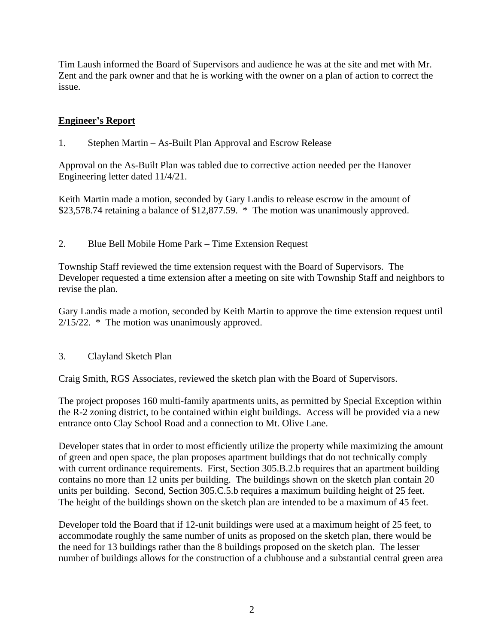Tim Laush informed the Board of Supervisors and audience he was at the site and met with Mr. Zent and the park owner and that he is working with the owner on a plan of action to correct the issue.

# **Engineer's Report**

1. Stephen Martin – As-Built Plan Approval and Escrow Release

Approval on the As-Built Plan was tabled due to corrective action needed per the Hanover Engineering letter dated 11/4/21.

Keith Martin made a motion, seconded by Gary Landis to release escrow in the amount of \$23,578.74 retaining a balance of \$12,877.59. \* The motion was unanimously approved.

2. Blue Bell Mobile Home Park – Time Extension Request

Township Staff reviewed the time extension request with the Board of Supervisors. The Developer requested a time extension after a meeting on site with Township Staff and neighbors to revise the plan.

Gary Landis made a motion, seconded by Keith Martin to approve the time extension request until 2/15/22. \* The motion was unanimously approved.

3. Clayland Sketch Plan

Craig Smith, RGS Associates, reviewed the sketch plan with the Board of Supervisors.

The project proposes 160 multi-family apartments units, as permitted by Special Exception within the R-2 zoning district, to be contained within eight buildings. Access will be provided via a new entrance onto Clay School Road and a connection to Mt. Olive Lane.

Developer states that in order to most efficiently utilize the property while maximizing the amount of green and open space, the plan proposes apartment buildings that do not technically comply with current ordinance requirements. First, Section 305.B.2.b requires that an apartment building contains no more than 12 units per building. The buildings shown on the sketch plan contain 20 units per building. Second, Section 305.C.5.b requires a maximum building height of 25 feet. The height of the buildings shown on the sketch plan are intended to be a maximum of 45 feet.

Developer told the Board that if 12-unit buildings were used at a maximum height of 25 feet, to accommodate roughly the same number of units as proposed on the sketch plan, there would be the need for 13 buildings rather than the 8 buildings proposed on the sketch plan. The lesser number of buildings allows for the construction of a clubhouse and a substantial central green area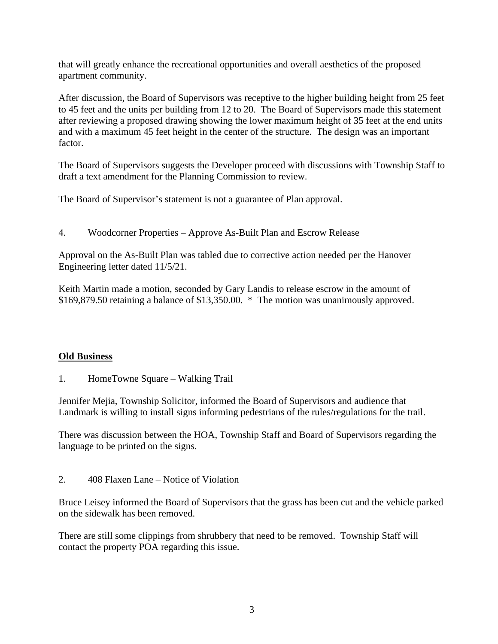that will greatly enhance the recreational opportunities and overall aesthetics of the proposed apartment community.

After discussion, the Board of Supervisors was receptive to the higher building height from 25 feet to 45 feet and the units per building from 12 to 20. The Board of Supervisors made this statement after reviewing a proposed drawing showing the lower maximum height of 35 feet at the end units and with a maximum 45 feet height in the center of the structure. The design was an important factor.

The Board of Supervisors suggests the Developer proceed with discussions with Township Staff to draft a text amendment for the Planning Commission to review.

The Board of Supervisor's statement is not a guarantee of Plan approval.

4. Woodcorner Properties – Approve As-Built Plan and Escrow Release

Approval on the As-Built Plan was tabled due to corrective action needed per the Hanover Engineering letter dated 11/5/21.

Keith Martin made a motion, seconded by Gary Landis to release escrow in the amount of \$169,879.50 retaining a balance of \$13,350.00. \* The motion was unanimously approved.

## **Old Business**

1. HomeTowne Square – Walking Trail

Jennifer Mejia, Township Solicitor, informed the Board of Supervisors and audience that Landmark is willing to install signs informing pedestrians of the rules/regulations for the trail.

There was discussion between the HOA, Township Staff and Board of Supervisors regarding the language to be printed on the signs.

2. 408 Flaxen Lane – Notice of Violation

Bruce Leisey informed the Board of Supervisors that the grass has been cut and the vehicle parked on the sidewalk has been removed.

There are still some clippings from shrubbery that need to be removed. Township Staff will contact the property POA regarding this issue.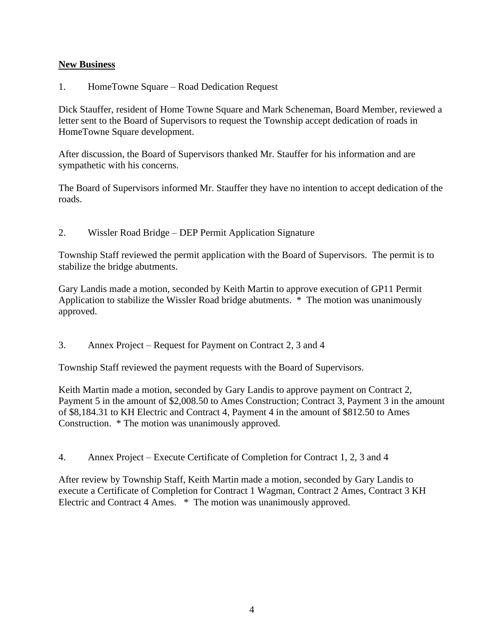### **New Business**

1. HomeTowne Square – Road Dedication Request

Dick Stauffer, resident of Home Towne Square and Mark Scheneman, Board Member, reviewed a letter sent to the Board of Supervisors to request the Township accept dedication of roads in HomeTowne Square development.

After discussion, the Board of Supervisors thanked Mr. Stauffer for his information and are sympathetic with his concerns.

The Board of Supervisors informed Mr. Stauffer they have no intention to accept dedication of the roads.

2. Wissler Road Bridge – DEP Permit Application Signature

Township Staff reviewed the permit application with the Board of Supervisors. The permit is to stabilize the bridge abutments.

Gary Landis made a motion, seconded by Keith Martin to approve execution of GP11 Permit Application to stabilize the Wissler Road bridge abutments. \* The motion was unanimously approved.

3. Annex Project – Request for Payment on Contract 2, 3 and 4

Township Staff reviewed the payment requests with the Board of Supervisors.

Keith Martin made a motion, seconded by Gary Landis to approve payment on Contract 2, Payment 5 in the amount of \$2,008.50 to Ames Construction; Contract 3, Payment 3 in the amount of \$8,184.31 to KH Electric and Contract 4, Payment 4 in the amount of \$812.50 to Ames Construction. \* The motion was unanimously approved.

4. Annex Project – Execute Certificate of Completion for Contract 1, 2, 3 and 4

After review by Township Staff, Keith Martin made a motion, seconded by Gary Landis to execute a Certificate of Completion for Contract 1 Wagman, Contract 2 Ames, Contract 3 KH Electric and Contract 4 Ames. \* The motion was unanimously approved.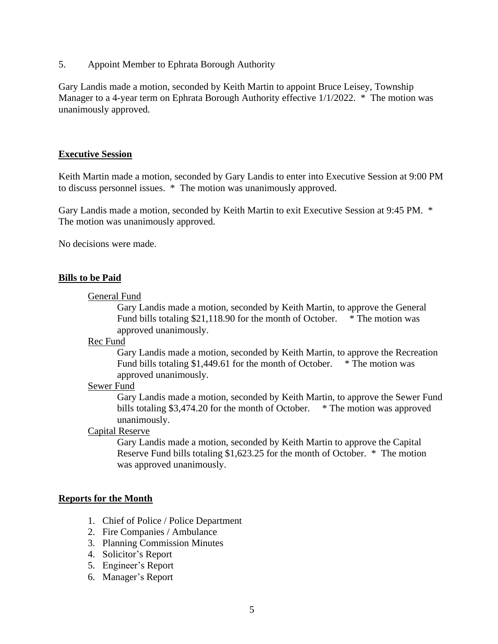5. Appoint Member to Ephrata Borough Authority

Gary Landis made a motion, seconded by Keith Martin to appoint Bruce Leisey, Township Manager to a 4-year term on Ephrata Borough Authority effective  $1/1/2022$ . \* The motion was unanimously approved.

### **Executive Session**

Keith Martin made a motion, seconded by Gary Landis to enter into Executive Session at 9:00 PM to discuss personnel issues. \* The motion was unanimously approved.

Gary Landis made a motion, seconded by Keith Martin to exit Executive Session at 9:45 PM. \* The motion was unanimously approved.

No decisions were made.

### **Bills to be Paid**

#### General Fund

Gary Landis made a motion, seconded by Keith Martin, to approve the General Fund bills totaling \$21,118.90 for the month of October. \* The motion was approved unanimously.

Rec Fund

Gary Landis made a motion, seconded by Keith Martin, to approve the Recreation Fund bills totaling \$1,449.61 for the month of October. \* The motion was approved unanimously.

## Sewer Fund

Gary Landis made a motion, seconded by Keith Martin, to approve the Sewer Fund bills totaling \$3,474.20 for the month of October. \* The motion was approved unanimously.

#### Capital Reserve

Gary Landis made a motion, seconded by Keith Martin to approve the Capital Reserve Fund bills totaling \$1,623.25 for the month of October. \* The motion was approved unanimously.

#### **Reports for the Month**

- 1. Chief of Police / Police Department
- 2. Fire Companies / Ambulance
- 3. Planning Commission Minutes
- 4. Solicitor's Report
- 5. Engineer's Report
- 6. Manager's Report